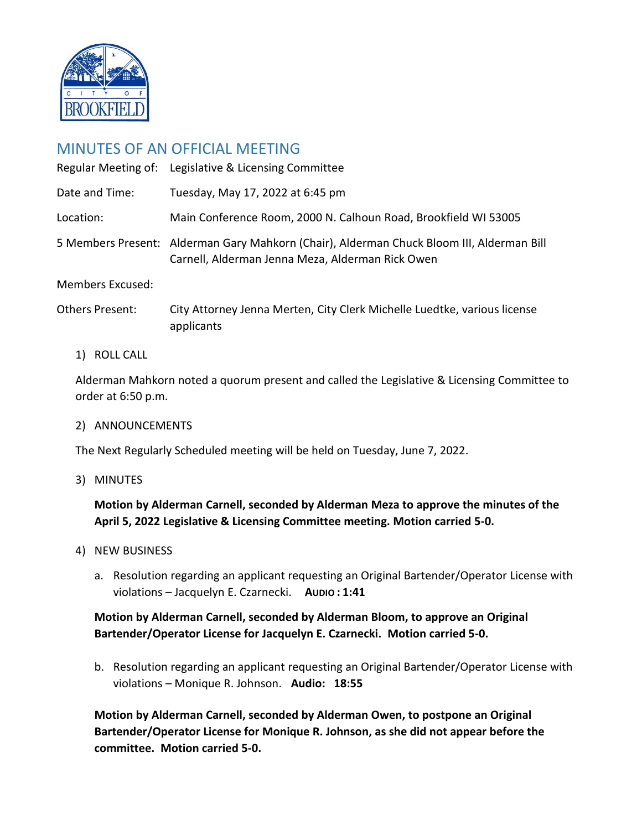

# MINUTES OF AN OFFICIAL MEETING

|                         | Regular Meeting of: Legislative & Licensing Committee                                                                                         |
|-------------------------|-----------------------------------------------------------------------------------------------------------------------------------------------|
| Date and Time:          | Tuesday, May 17, 2022 at 6:45 pm                                                                                                              |
| Location:               | Main Conference Room, 2000 N. Calhoun Road, Brookfield WI 53005                                                                               |
|                         | 5 Members Present: Alderman Gary Mahkorn (Chair), Alderman Chuck Bloom III, Alderman Bill<br>Carnell, Alderman Jenna Meza, Alderman Rick Owen |
| <b>Members Excused:</b> |                                                                                                                                               |
| <b>Others Present:</b>  | City Attorney Jenna Merten, City Clerk Michelle Luedtke, various license<br>applicants                                                        |

1) ROLL CALL

Alderman Mahkorn noted a quorum present and called the Legislative & Licensing Committee to order at 6:50 p.m.

## 2) ANNOUNCEMENTS

The Next Regularly Scheduled meeting will be held on Tuesday, June 7, 2022.

3) MINUTES

**Motion by Alderman Carnell, seconded by Alderman Meza to approve the minutes of the April 5, 2022 Legislative & Licensing Committee meeting. Motion carried 5-0.**

- 4) NEW BUSINESS
	- a. Resolution regarding an applicant requesting an Original Bartender/Operator License with violations – Jacquelyn E. Czarnecki. **AUDIO : 1:41**

# **Motion by Alderman Carnell, seconded by Alderman Bloom, to approve an Original Bartender/Operator License for Jacquelyn E. Czarnecki. Motion carried 5-0.**

b. Resolution regarding an applicant requesting an Original Bartender/Operator License with violations – Monique R. Johnson. **Audio: 18:55**

**Motion by Alderman Carnell, seconded by Alderman Owen, to postpone an Original Bartender/Operator License for Monique R. Johnson, as she did not appear before the committee. Motion carried 5-0.**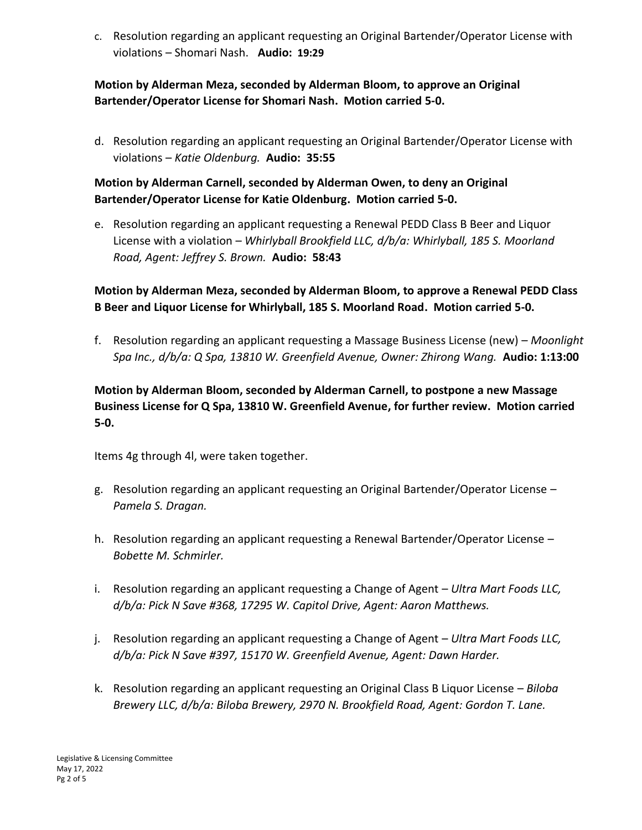c. Resolution regarding an applicant requesting an Original Bartender/Operator License with violations – Shomari Nash. **Audio: 19:29**

# **Motion by Alderman Meza, seconded by Alderman Bloom, to approve an Original Bartender/Operator License for Shomari Nash. Motion carried 5-0.**

d. Resolution regarding an applicant requesting an Original Bartender/Operator License with violations – *Katie Oldenburg.* **Audio: 35:55**

# **Motion by Alderman Carnell, seconded by Alderman Owen, to deny an Original Bartender/Operator License for Katie Oldenburg. Motion carried 5-0.**

e. Resolution regarding an applicant requesting a Renewal PEDD Class B Beer and Liquor License with a violation – *Whirlyball Brookfield LLC, d/b/a: Whirlyball, 185 S. Moorland Road, Agent: Jeffrey S. Brown.* **Audio: 58:43**

# **Motion by Alderman Meza, seconded by Alderman Bloom, to approve a Renewal PEDD Class B Beer and Liquor License for Whirlyball, 185 S. Moorland Road. Motion carried 5-0.**

f. Resolution regarding an applicant requesting a Massage Business License (new) – *Moonlight Spa Inc., d/b/a: Q Spa, 13810 W. Greenfield Avenue, Owner: Zhirong Wang.* **Audio: 1:13:00**

# **Motion by Alderman Bloom, seconded by Alderman Carnell, to postpone a new Massage Business License for Q Spa, 13810 W. Greenfield Avenue, for further review. Motion carried 5-0.**

Items 4g through 4l, were taken together.

- g. Resolution regarding an applicant requesting an Original Bartender/Operator License *Pamela S. Dragan.*
- h. Resolution regarding an applicant requesting a Renewal Bartender/Operator License *Bobette M. Schmirler.*
- i. Resolution regarding an applicant requesting a Change of Agent *Ultra Mart Foods LLC, d/b/a: Pick N Save #368, 17295 W. Capitol Drive, Agent: Aaron Matthews.*
- j. Resolution regarding an applicant requesting a Change of Agent *Ultra Mart Foods LLC, d/b/a: Pick N Save #397, 15170 W. Greenfield Avenue, Agent: Dawn Harder.*
- k. Resolution regarding an applicant requesting an Original Class B Liquor License *Biloba Brewery LLC, d/b/a: Biloba Brewery, 2970 N. Brookfield Road, Agent: Gordon T. Lane.*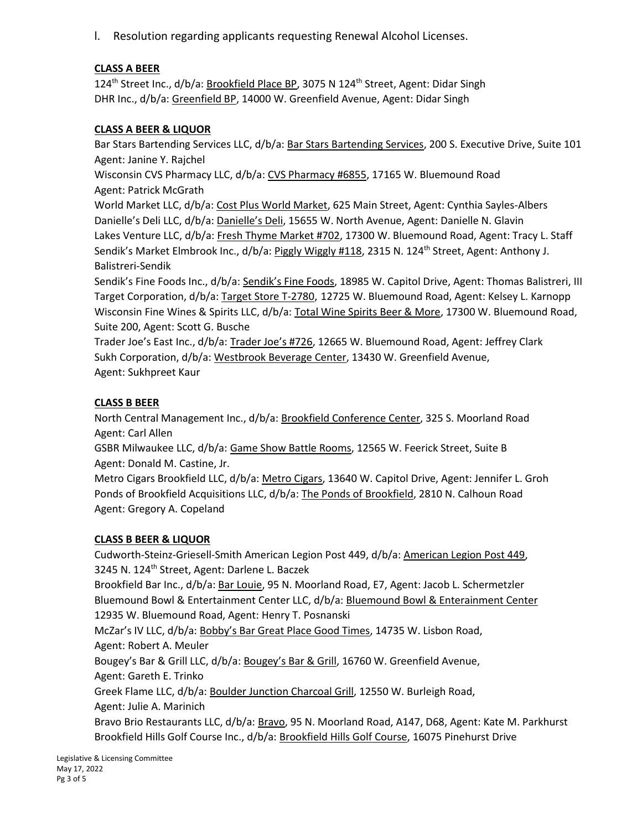l. Resolution regarding applicants requesting Renewal Alcohol Licenses.

## **CLASS A BEER**

124<sup>th</sup> Street Inc., d/b/a: Brookfield Place BP, 3075 N 124<sup>th</sup> Street, Agent: Didar Singh DHR Inc., d/b/a: Greenfield BP, 14000 W. Greenfield Avenue, Agent: Didar Singh

## **CLASS A BEER & LIQUOR**

Bar Stars Bartending Services LLC, d/b/a: Bar Stars Bartending Services, 200 S. Executive Drive, Suite 101 Agent: Janine Y. Rajchel

Wisconsin CVS Pharmacy LLC, d/b/a: CVS Pharmacy #6855, 17165 W. Bluemound Road Agent: Patrick McGrath

World Market LLC, d/b/a: Cost Plus World Market, 625 Main Street, Agent: Cynthia Sayles-Albers Danielle's Deli LLC, d/b/a: Danielle's Deli, 15655 W. North Avenue, Agent: Danielle N. Glavin Lakes Venture LLC, d/b/a: Fresh Thyme Market #702, 17300 W. Bluemound Road, Agent: Tracy L. Staff Sendik's Market Elmbrook Inc., d/b/a: Piggly Wiggly #118, 2315 N. 124<sup>th</sup> Street, Agent: Anthony J. Balistreri-Sendik

Sendik's Fine Foods Inc., d/b/a: Sendik's Fine Foods, 18985 W. Capitol Drive, Agent: Thomas Balistreri, III Target Corporation, d/b/a: Target Store T-2780, 12725 W. Bluemound Road, Agent: Kelsey L. Karnopp Wisconsin Fine Wines & Spirits LLC, d/b/a: Total Wine Spirits Beer & More, 17300 W. Bluemound Road, Suite 200, Agent: Scott G. Busche

Trader Joe's East Inc., d/b/a: Trader Joe's #726, 12665 W. Bluemound Road, Agent: Jeffrey Clark Sukh Corporation, d/b/a: Westbrook Beverage Center, 13430 W. Greenfield Avenue, Agent: Sukhpreet Kaur

## **CLASS B BEER**

North Central Management Inc., d/b/a: Brookfield Conference Center, 325 S. Moorland Road Agent: Carl Allen

GSBR Milwaukee LLC, d/b/a: Game Show Battle Rooms, 12565 W. Feerick Street, Suite B Agent: Donald M. Castine, Jr.

Metro Cigars Brookfield LLC, d/b/a: Metro Cigars, 13640 W. Capitol Drive, Agent: Jennifer L. Groh Ponds of Brookfield Acquisitions LLC, d/b/a: The Ponds of Brookfield, 2810 N. Calhoun Road Agent: Gregory A. Copeland

### **CLASS B BEER & LIQUOR**

Cudworth-Steinz-Griesell-Smith American Legion Post 449, d/b/a: American Legion Post 449, 3245 N. 124<sup>th</sup> Street, Agent: Darlene L. Baczek Brookfield Bar Inc., d/b/a: Bar Louie, 95 N. Moorland Road, E7, Agent: Jacob L. Schermetzler Bluemound Bowl & Entertainment Center LLC, d/b/a: Bluemound Bowl & Enterainment Center 12935 W. Bluemound Road, Agent: Henry T. Posnanski McZar's IV LLC, d/b/a: Bobby's Bar Great Place Good Times, 14735 W. Lisbon Road, Agent: Robert A. Meuler Bougey's Bar & Grill LLC, d/b/a: Bougey's Bar & Grill, 16760 W. Greenfield Avenue, Agent: Gareth E. Trinko Greek Flame LLC, d/b/a: Boulder Junction Charcoal Grill, 12550 W. Burleigh Road, Agent: Julie A. Marinich Bravo Brio Restaurants LLC, d/b/a: Bravo, 95 N. Moorland Road, A147, D68, Agent: Kate M. Parkhurst Brookfield Hills Golf Course Inc., d/b/a: Brookfield Hills Golf Course, 16075 Pinehurst Drive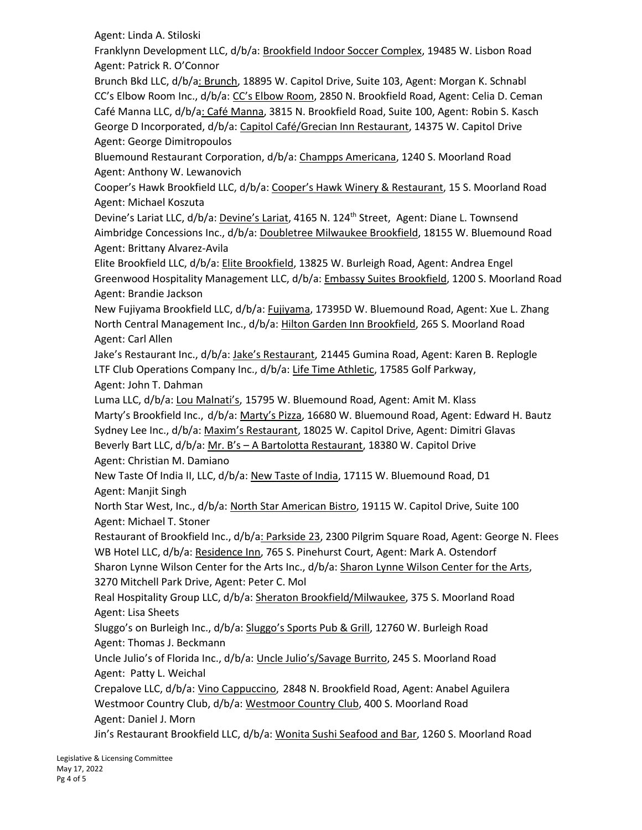Agent: Linda A. Stiloski

Franklynn Development LLC, d/b/a: Brookfield Indoor Soccer Complex, 19485 W. Lisbon Road Agent: Patrick R. O'Connor

Brunch Bkd LLC, d/b/a: Brunch, 18895 W. Capitol Drive, Suite 103, Agent: Morgan K. Schnabl CC's Elbow Room Inc., d/b/a: CC's Elbow Room, 2850 N. Brookfield Road, Agent: Celia D. Ceman Café Manna LLC, d/b/a: Café Manna, 3815 N. Brookfield Road, Suite 100, Agent: Robin S. Kasch George D Incorporated, d/b/a: Capitol Café/Grecian Inn Restaurant, 14375 W. Capitol Drive Agent: George Dimitropoulos

Bluemound Restaurant Corporation, d/b/a: Champps Americana, 1240 S. Moorland Road Agent: Anthony W. Lewanovich

Cooper's Hawk Brookfield LLC, d/b/a: Cooper's Hawk Winery & Restaurant, 15 S. Moorland Road Agent: Michael Koszuta

Devine's Lariat LLC, d/b/a: Devine's Lariat, 4165 N. 124<sup>th</sup> Street, Agent: Diane L. Townsend Aimbridge Concessions Inc., d/b/a: Doubletree Milwaukee Brookfield, 18155 W. Bluemound Road Agent: Brittany Alvarez-Avila

Elite Brookfield LLC, d/b/a: Elite Brookfield, 13825 W. Burleigh Road, Agent: Andrea Engel Greenwood Hospitality Management LLC, d/b/a: Embassy Suites Brookfield, 1200 S. Moorland Road Agent: Brandie Jackson

New Fujiyama Brookfield LLC, d/b/a: Fujiyama, 17395D W. Bluemound Road, Agent: Xue L. Zhang North Central Management Inc., d/b/a: Hilton Garden Inn Brookfield, 265 S. Moorland Road Agent: Carl Allen

Jake's Restaurant Inc., d/b/a: Jake's Restaurant, 21445 Gumina Road, Agent: Karen B. Replogle LTF Club Operations Company Inc., d/b/a: Life Time Athletic, 17585 Golf Parkway, Agent: John T. Dahman

Luma LLC, d/b/a: Lou Malnati's, 15795 W. Bluemound Road, Agent: Amit M. Klass Marty's Brookfield Inc., d/b/a: Marty's Pizza, 16680 W. Bluemound Road, Agent: Edward H. Bautz Sydney Lee Inc., d/b/a: Maxim's Restaurant, 18025 W. Capitol Drive, Agent: Dimitri Glavas Beverly Bart LLC, d/b/a: Mr. B's – A Bartolotta Restaurant, 18380 W. Capitol Drive Agent: Christian M. Damiano

New Taste Of India II, LLC, d/b/a: New Taste of India, 17115 W. Bluemound Road, D1 Agent: Manjit Singh

North Star West, Inc., d/b/a: North Star American Bistro, 19115 W. Capitol Drive, Suite 100 Agent: Michael T. Stoner

Restaurant of Brookfield Inc., d/b/a: Parkside 23, 2300 Pilgrim Square Road, Agent: George N. Flees WB Hotel LLC, d/b/a: Residence Inn, 765 S. Pinehurst Court, Agent: Mark A. Ostendorf

Sharon Lynne Wilson Center for the Arts Inc., d/b/a: Sharon Lynne Wilson Center for the Arts, 3270 Mitchell Park Drive, Agent: Peter C. Mol

Real Hospitality Group LLC, d/b/a: Sheraton Brookfield/Milwaukee, 375 S. Moorland Road Agent: Lisa Sheets

Sluggo's on Burleigh Inc., d/b/a: Sluggo's Sports Pub & Grill, 12760 W. Burleigh Road Agent: Thomas J. Beckmann

Uncle Julio's of Florida Inc., d/b/a: Uncle Julio's/Savage Burrito, 245 S. Moorland Road Agent: Patty L. Weichal

Crepalove LLC, d/b/a: Vino Cappuccino, 2848 N. Brookfield Road, Agent: Anabel Aguilera Westmoor Country Club, d/b/a: Westmoor Country Club, 400 S. Moorland Road Agent: Daniel J. Morn

Jin's Restaurant Brookfield LLC, d/b/a: Wonita Sushi Seafood and Bar, 1260 S. Moorland Road